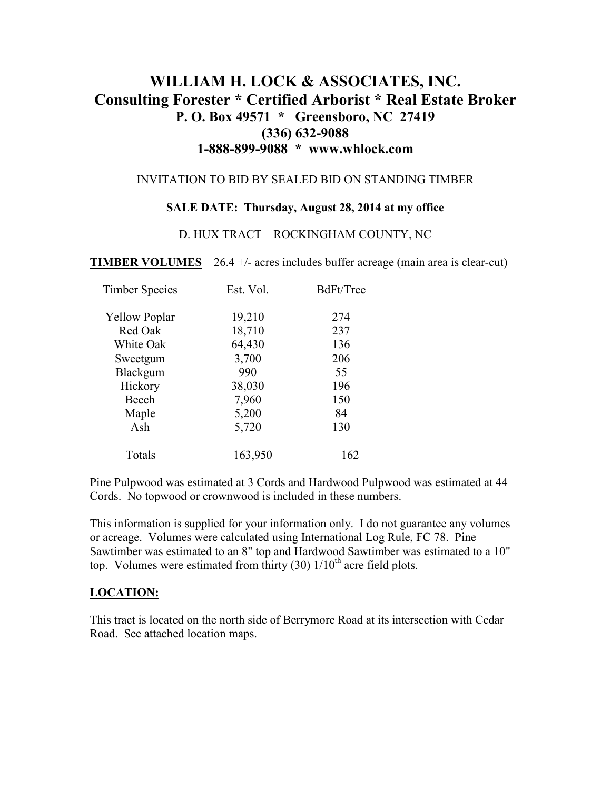# **WILLIAM H. LOCK & ASSOCIATES, INC. Consulting Forester \* Certified Arborist \* Real Estate Broker P. O. Box 49571 \* Greensboro, NC 27419 (336) 632-9088 1-888-899-9088 \* www.whlock.com**

### INVITATION TO BID BY SEALED BID ON STANDING TIMBER

#### **SALE DATE: Thursday, August 28, 2014 at my office**

#### D. HUX TRACT – ROCKINGHAM COUNTY, NC

**TIMBER VOLUMES** – 26.4 +/- acres includes buffer acreage (main area is clear-cut)

| <b>Timber Species</b> | Est. Vol. | BdFt/Tree |
|-----------------------|-----------|-----------|
| <b>Yellow Poplar</b>  | 19,210    | 274       |
| Red Oak               | 18,710    | 237       |
| White Oak             | 64,430    | 136       |
| Sweetgum              | 3,700     | 206       |
| Blackgum              | 990       | 55        |
| Hickory               | 38,030    | 196       |
| Beech                 | 7,960     | 150       |
| Maple                 | 5,200     | 84        |
| Ash                   | 5,720     | 130       |
| Totals                | 163,950   | 162       |

Pine Pulpwood was estimated at 3 Cords and Hardwood Pulpwood was estimated at 44 Cords. No topwood or crownwood is included in these numbers.

This information is supplied for your information only. I do not guarantee any volumes or acreage. Volumes were calculated using International Log Rule, FC 78. Pine Sawtimber was estimated to an 8" top and Hardwood Sawtimber was estimated to a 10" top. Volumes were estimated from thirty  $(30)$   $1/10<sup>th</sup>$  acre field plots.

### **LOCATION:**

This tract is located on the north side of Berrymore Road at its intersection with Cedar Road. See attached location maps.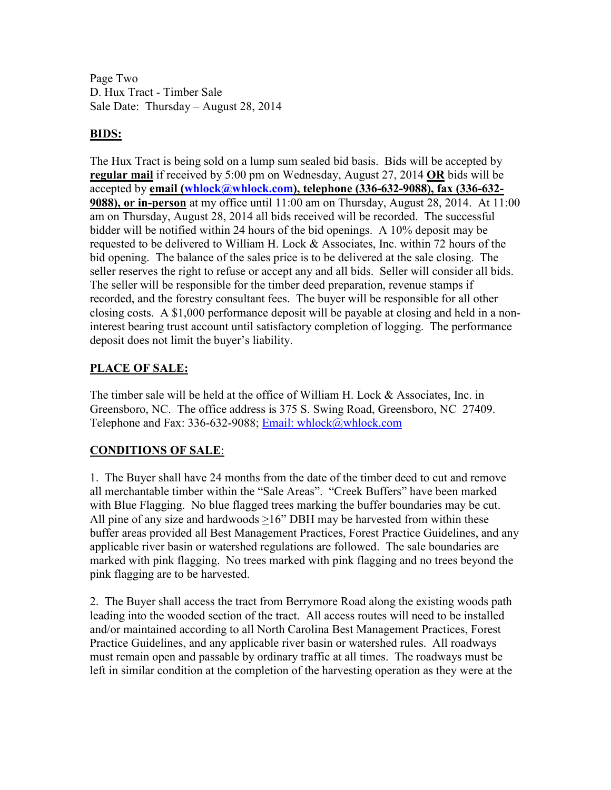Page Two D. Hux Tract - Timber Sale Sale Date: Thursday – August 28, 2014

### **BIDS:**

The Hux Tract is being sold on a lump sum sealed bid basis. Bids will be accepted by **regular mail** if received by 5:00 pm on Wednesday, August 27, 2014 **OR** bids will be accepted by **email (whlock@whlock.com), telephone (336-632-9088), fax (336-632- 9088), or in-person** at my office until 11:00 am on Thursday, August 28, 2014. At 11:00 am on Thursday, August 28, 2014 all bids received will be recorded. The successful bidder will be notified within 24 hours of the bid openings. A 10% deposit may be requested to be delivered to William H. Lock  $&$  Associates, Inc. within 72 hours of the bid opening. The balance of the sales price is to be delivered at the sale closing. The seller reserves the right to refuse or accept any and all bids. Seller will consider all bids. The seller will be responsible for the timber deed preparation, revenue stamps if recorded, and the forestry consultant fees. The buyer will be responsible for all other closing costs. A \$1,000 performance deposit will be payable at closing and held in a noninterest bearing trust account until satisfactory completion of logging. The performance deposit does not limit the buyer's liability.

## **PLACE OF SALE:**

The timber sale will be held at the office of William H. Lock & Associates, Inc. in Greensboro, NC. The office address is 375 S. Swing Road, Greensboro, NC 27409. Telephone and Fax: 336-632-9088; Email: whlock@whlock.com

# **CONDITIONS OF SALE**:

1. The Buyer shall have 24 months from the date of the timber deed to cut and remove all merchantable timber within the "Sale Areas". "Creek Buffers" have been marked with Blue Flagging. No blue flagged trees marking the buffer boundaries may be cut. All pine of any size and hardwoods >16" DBH may be harvested from within these buffer areas provided all Best Management Practices, Forest Practice Guidelines, and any applicable river basin or watershed regulations are followed. The sale boundaries are marked with pink flagging. No trees marked with pink flagging and no trees beyond the pink flagging are to be harvested.

2. The Buyer shall access the tract from Berrymore Road along the existing woods path leading into the wooded section of the tract. All access routes will need to be installed and/or maintained according to all North Carolina Best Management Practices, Forest Practice Guidelines, and any applicable river basin or watershed rules. All roadways must remain open and passable by ordinary traffic at all times. The roadways must be left in similar condition at the completion of the harvesting operation as they were at the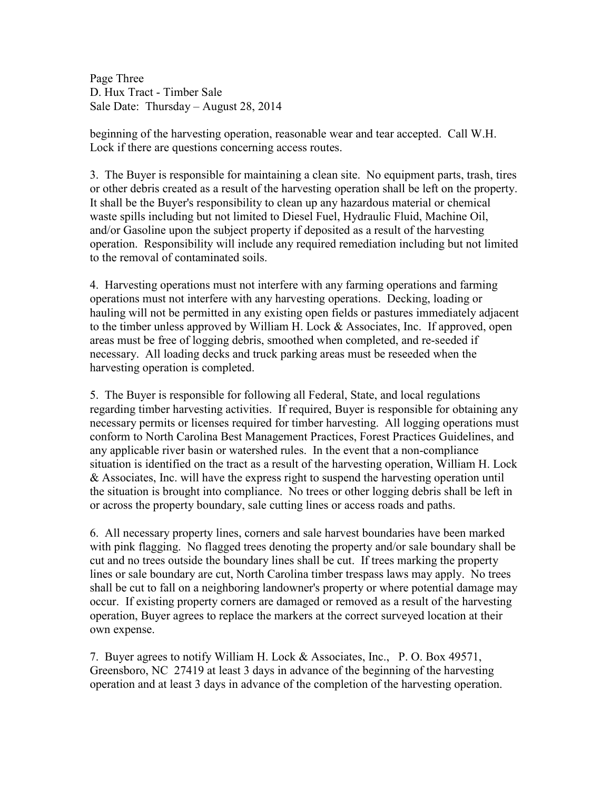Page Three D. Hux Tract - Timber Sale Sale Date: Thursday – August 28, 2014

beginning of the harvesting operation, reasonable wear and tear accepted. Call W.H. Lock if there are questions concerning access routes.

3. The Buyer is responsible for maintaining a clean site. No equipment parts, trash, tires or other debris created as a result of the harvesting operation shall be left on the property. It shall be the Buyer's responsibility to clean up any hazardous material or chemical waste spills including but not limited to Diesel Fuel, Hydraulic Fluid, Machine Oil, and/or Gasoline upon the subject property if deposited as a result of the harvesting operation. Responsibility will include any required remediation including but not limited to the removal of contaminated soils.

4. Harvesting operations must not interfere with any farming operations and farming operations must not interfere with any harvesting operations. Decking, loading or hauling will not be permitted in any existing open fields or pastures immediately adjacent to the timber unless approved by William H. Lock & Associates, Inc. If approved, open areas must be free of logging debris, smoothed when completed, and re-seeded if necessary. All loading decks and truck parking areas must be reseeded when the harvesting operation is completed.

5. The Buyer is responsible for following all Federal, State, and local regulations regarding timber harvesting activities. If required, Buyer is responsible for obtaining any necessary permits or licenses required for timber harvesting. All logging operations must conform to North Carolina Best Management Practices, Forest Practices Guidelines, and any applicable river basin or watershed rules. In the event that a non-compliance situation is identified on the tract as a result of the harvesting operation, William H. Lock & Associates, Inc. will have the express right to suspend the harvesting operation until the situation is brought into compliance. No trees or other logging debris shall be left in or across the property boundary, sale cutting lines or access roads and paths.

6. All necessary property lines, corners and sale harvest boundaries have been marked with pink flagging. No flagged trees denoting the property and/or sale boundary shall be cut and no trees outside the boundary lines shall be cut. If trees marking the property lines or sale boundary are cut, North Carolina timber trespass laws may apply. No trees shall be cut to fall on a neighboring landowner's property or where potential damage may occur. If existing property corners are damaged or removed as a result of the harvesting operation, Buyer agrees to replace the markers at the correct surveyed location at their own expense.

7. Buyer agrees to notify William H. Lock & Associates, Inc., P. O. Box 49571, Greensboro, NC 27419 at least 3 days in advance of the beginning of the harvesting operation and at least 3 days in advance of the completion of the harvesting operation.